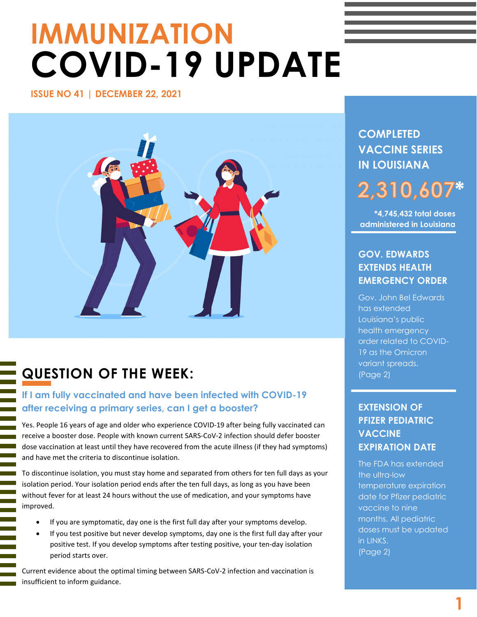# **IMMUNIZATION COVID-19 UPDATE**

**ISSUE NO 41 | DECEMBER 22, 2021** 



# **QUESTION OF THE WEEK:**

l.

# **If I am fully vaccinated and have been infected with COVID-19 after receiving a primary series, can I get a booster?**

Yes. People 16 years of age and older who experience COVID-19 after being fully vaccinated can receive a booster dose. People with known current SARS-CoV-2 infection should defer booster dose vaccination at least until they have recovered from the acute illness (if they had symptoms) and have met the criteria to discontinue isolation.

To discontinue isolation, you must stay home and separated from others for ten full days as your isolation period. Your isolation period ends after the ten full days, as long as you have been without fever for at least 24 hours without the use of medication, and your symptoms have improved.

- If you are symptomatic, day one is the first full day after your symptoms develop.
- If you test positive but never develop symptoms, day one is the first full day after your positive test. If you develop symptoms after testing positive, your ten-day isolation period starts over.

Current evidence about the optimal timing between SARS-CoV-2 infection and vaccination is insufficient to inform guidance.

**COMPLETED VACCINE SERIES IN LOUISIANA**

# **\* 2,310,607**

**\*4,745,432 total doses administered in Louisiana**

# **GOV. EDWARDS EXTENDS HEALTH EMERGENCY ORDER**

Gov. John Bel Edwards has extended Louisiana's public health emergency order related to COVID-19 as the Omicron variant spreads. (Page 2)

# **EXTENSION OF PFIZER PEDIATRIC VACCINE EXPIRATION DATE**

The FDA has extended the ultra-low temperature expiration date for Pfizer pediatric vaccine to nine months. All pediatric doses must be updated in LINKS. (Page 2)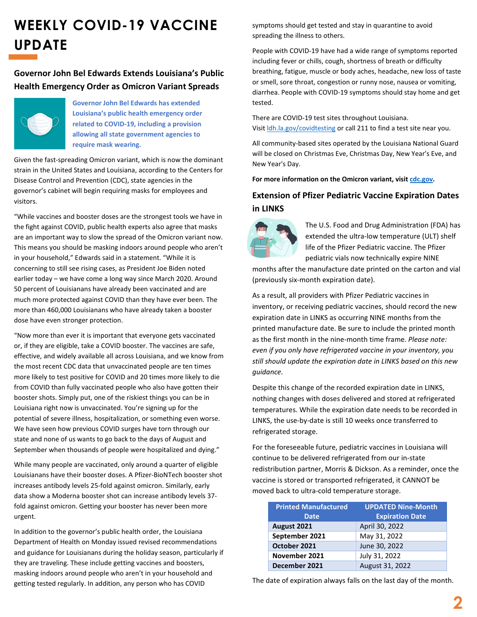# **WEEKLY COVID-19 VACCINE UPDATE**

## **Governor John Bel Edwards Extends Louisiana's Public Health Emergency Order as Omicron Variant Spreads**



**Governor John Bel Edwards has extended Louisiana's public health emergency order related to COVID-19, including a provision allowing all state government agencies to require mask wearing.**

Given the fast-spreading Omicron variant, which is now the dominant strain in the United States and Louisiana, according to the Centers for Disease Control and Prevention (CDC), state agencies in the governor's cabinet will begin requiring masks for employees and visitors.

"While vaccines and booster doses are the strongest tools we have in the fight against COVID, public health experts also agree that masks are an important way to slow the spread of the Omicron variant now. This means you should be masking indoors around people who aren't in your household," Edwards said in a statement. "While it is concerning to still see rising cases, as President Joe Biden noted earlier today – we have come a long way since March 2020. Around 50 percent of Louisianans have already been vaccinated and are much more protected against COVID than they have ever been. The more than 460,000 Louisianans who have already taken a booster dose have even stronger protection.

"Now more than ever it is important that everyone gets vaccinated or, if they are eligible, take a COVID booster. The vaccines are safe, effective, and widely available all across Louisiana, and we know from the most recent CDC data that unvaccinated people are ten times more likely to test positive for COVID and 20 times more likely to die from COVID than fully vaccinated people who also have gotten their booster shots. Simply put, one of the riskiest things you can be in Louisiana right now is unvaccinated. You're signing up for the potential of severe illness, hospitalization, or something even worse. We have seen how previous COVID surges have torn through our state and none of us wants to go back to the days of August and September when thousands of people were hospitalized and dying."

While many people are vaccinated, only around a quarter of eligible Louisianans have their booster doses. A Pfizer-BioNTech booster shot increases antibody levels 25-fold against omicron. Similarly, early data show a Moderna booster shot can increase antibody levels 37 fold against omicron. Getting your booster has never been more urgent.

In addition to the governor's public health order, the Louisiana Department of Health on Monday issued revised recommendations and guidance for Louisianans during the holiday season, particularly if they are traveling. These include getting vaccines and boosters, masking indoors around people who aren't in your household and getting tested regularly. In addition, any person who has COVID

symptoms should get tested and stay in quarantine to avoid spreading the illness to others.

People with COVID-19 have had a wide range of symptoms reported including fever or chills, cough, shortness of breath or difficulty breathing, fatigue, muscle or body aches, headache, new loss of taste or smell, sore throat, congestion or runny nose, nausea or vomiting, diarrhea. People with COVID-19 symptoms should stay home and get tested.

There are COVID-19 test sites throughout Louisiana. Visit [ldh.la.gov/covidtesting](https://urldefense.com/v3/__https:/gov.louisiana.gov/action.cfm?md=communication&task=addMessageClickThru&msgid=3562&uid=kIi*5C&encoded=1&redirect=https*3A*2F*2Fldh*2Ela*2Egov*2Fpage*2F3934__;JSUlJSUlJSU!!Ivohdkk!zNj0LyRAzToY0EdAqxOwExs9dJVAV457FTQXxcigAZXS8Li7Z05tRB6rcnPMQg$) or call 211 to find a test site near you.

All community-based sites operated by the Louisiana National Guard will be closed on Christmas Eve, Christmas Day, New Year's Eve, and New Year's Day.

**For more information on the Omicron variant, visi[t cdc.gov.](https://www.cdc.gov/coronavirus/2019-ncov/variants/omicron-variant.html)**

## **Extension of Pfizer Pediatric Vaccine Expiration Dates in LINKS**



The U.S. Food and Drug Administration (FDA) has extended the ultra-low temperature (ULT) shelf life of the Pfizer Pediatric vaccine. The Pfizer pediatric vials now technically expire NINE

months after the manufacture date printed on the carton and vial (previously six-month expiration date).

As a result, all providers with Pfizer Pediatric vaccines in inventory, or receiving pediatric vaccines, should record the new expiration date in LINKS as occurring NINE months from the printed manufacture date. Be sure to include the printed month as the first month in the nine-month time frame. *Please note: even if you only have refrigerated vaccine in your inventory, you still should update the expiration date in LINKS based on this new guidance.*

Despite this change of the recorded expiration date in LINKS, nothing changes with doses delivered and stored at refrigerated temperatures. While the expiration date needs to be recorded in LINKS, the use-by-date is still 10 weeks once transferred to refrigerated storage.

For the foreseeable future, pediatric vaccines in Louisiana will continue to be delivered refrigerated from our in-state redistribution partner, Morris & Dickson. As a reminder, once the vaccine is stored or transported refrigerated, it CANNOT be moved back to ultra-cold temperature storage.

| <b>Printed Manufactured</b> | <b>UPDATED Nine-Month</b> |
|-----------------------------|---------------------------|
| <b>Date</b>                 | <b>Expiration Date</b>    |
| August 2021                 | April 30, 2022            |
| September 2021              | May 31, 2022              |
| October 2021                | June 30, 2022             |
| November 2021               | July 31, 2022             |
| December 2021               | August 31, 2022           |

The date of expiration always falls on the last day of the month.